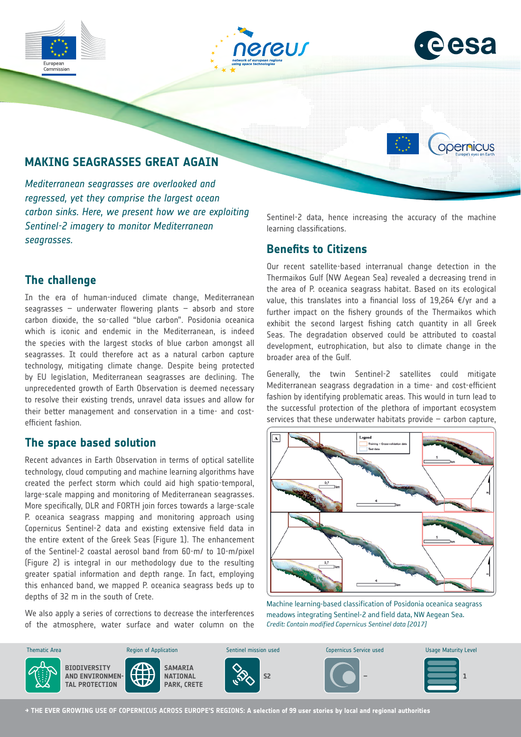





opernicus

# **MAKING SEAGRASSES GREAT AGAIN**

*Mediterranean seagrasses are overlooked and regressed, yet they comprise the largest ocean carbon sinks. Here, we present how we are exploiting Sentinel-2 imagery to monitor Mediterranean seagrasses.*

### **The challenge**

In the era of human-induced climate change, Mediterranean seagrasses – underwater flowering plants – absorb and store carbon dioxide, the so-called "blue carbon". Posidonia oceanica which is iconic and endemic in the Mediterranean, is indeed the species with the largest stocks of blue carbon amongst all seagrasses. It could therefore act as a natural carbon capture technology, mitigating climate change. Despite being protected by EU legislation, Mediterranean seagrasses are declining. The unprecedented growth of Earth Observation is deemed necessary to resolve their existing trends, unravel data issues and allow for their better management and conservation in a time- and costefficient fashion.

#### **The space based solution**

Recent advances in Earth Observation in terms of optical satellite technology, cloud computing and machine learning algorithms have created the perfect storm which could aid high spatio-temporal, large-scale mapping and monitoring of Mediterranean seagrasses. More specifically, DLR and FORTH join forces towards a large-scale P. oceanica seagrass mapping and monitoring approach using Copernicus Sentinel-2 data and existing extensive field data in the entire extent of the Greek Seas (Figure 1). The enhancement of the Sentinel-2 coastal aerosol band from 60-m/ to 10-m/pixel (Figure 2) is integral in our methodology due to the resulting greater spatial information and depth range. In fact, employing this enhanced band, we mapped P. oceanica seagrass beds up to depths of 32 m in the south of Crete.

We also apply a series of corrections to decrease the interferences of the atmosphere, water surface and water column on the

Sentinel-2 data, hence increasing the accuracy of the machine learning classifications.

### **Benefits to Citizens**

Our recent satellite-based interranual change detection in the Thermaikos Gulf (NW Aegean Sea) revealed a decreasing trend in the area of P. oceanica seagrass habitat. Based on its ecological value, this translates into a financial loss of 19,264 €/yr and a further impact on the fishery grounds of the Thermaikos which exhibit the second largest fishing catch quantity in all Greek Seas. The degradation observed could be attributed to coastal development, eutrophication, but also to climate change in the broader area of the Gulf.

Generally, the twin Sentinel-2 satellites could mitigate Mediterranean seagrass degradation in a time- and cost-efficient fashion by identifying problematic areas. This would in turn lead to the successful protection of the plethora of important ecosystem services that these underwater habitats provide  $-$  carbon capture,



Machine learning-based classification of Posidonia oceanica seagrass meadows integrating Sentinel-2 and field data, NW Aegean Sea. *Credit: Contain modified Copernicus Sentinel data [2017]*



**→ THE EVER GROWING USE OF COPERNICUS ACROSS EUROPE'S REGIONS: A selection of 99 user stories by local and regional authorities**